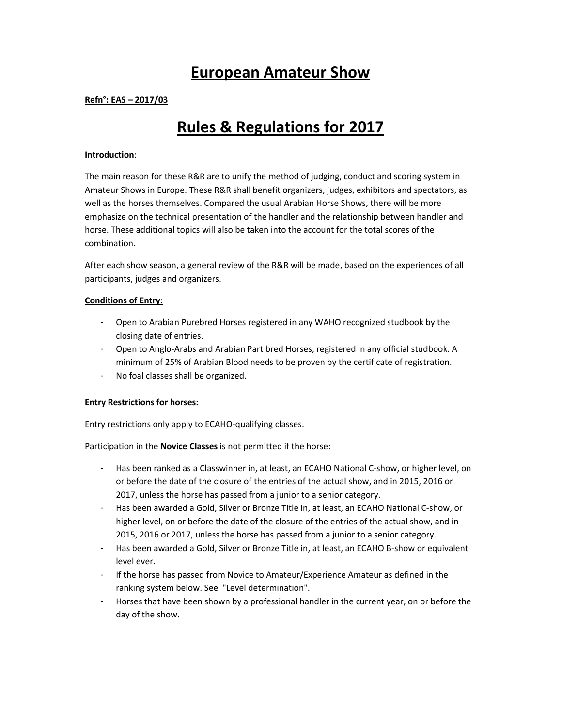# **European Amateur Show**

# **Refn°: EAS – 2017/03**

# **Rules & Regulations for 2017**

## **Introduction**:

The main reason for these R&R are to unify the method of judging, conduct and scoring system in Amateur Shows in Europe. These R&R shall benefit organizers, judges, exhibitors and spectators, as well as the horses themselves. Compared the usual Arabian Horse Shows, there will be more emphasize on the technical presentation of the handler and the relationship between handler and horse. These additional topics will also be taken into the account for the total scores of the combination.

After each show season, a general review of the R&R will be made, based on the experiences of all participants, judges and organizers.

# **Conditions of Entry**:

- Open to Arabian Purebred Horses registered in any WAHO recognized studbook by the closing date of entries.
- Open to Anglo-Arabs and Arabian Part bred Horses, registered in any official studbook. A minimum of 25% of Arabian Blood needs to be proven by the certificate of registration.
- No foal classes shall be organized.

## **Entry Restrictions for horses:**

Entry restrictions only apply to ECAHO-qualifying classes.

Participation in the **Novice Classes** is not permitted if the horse:

- Has been ranked as a Classwinner in, at least, an ECAHO National C-show, or higher level, on or before the date of the closure of the entries of the actual show, and in 2015, 2016 or 2017, unless the horse has passed from a junior to a senior category.
- Has been awarded a Gold, Silver or Bronze Title in, at least, an ECAHO National C-show, or higher level, on or before the date of the closure of the entries of the actual show, and in 2015, 2016 or 2017, unless the horse has passed from a junior to a senior category.
- Has been awarded a Gold, Silver or Bronze Title in, at least, an ECAHO B-show or equivalent level ever.
- If the horse has passed from Novice to Amateur/Experience Amateur as defined in the ranking system below. See "Level determination".
- Horses that have been shown by a professional handler in the current year, on or before the day of the show.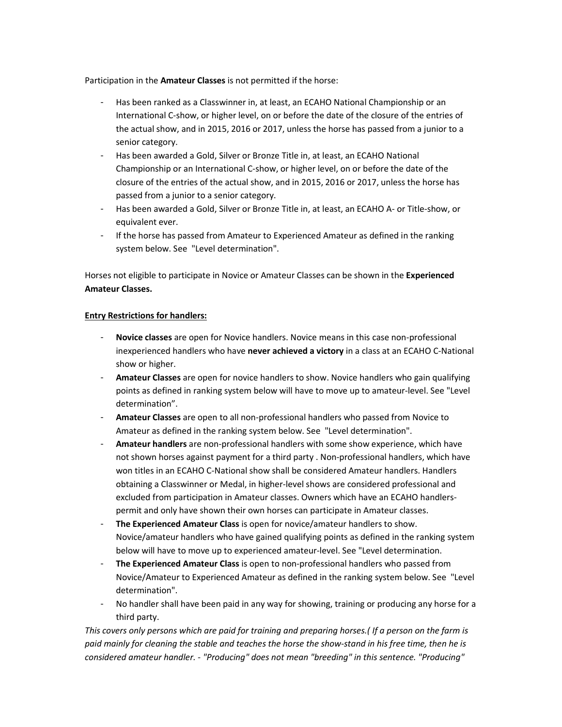Participation in the **Amateur Classes** is not permitted if the horse:

- Has been ranked as a Classwinner in, at least, an ECAHO National Championship or an International C-show, or higher level, on or before the date of the closure of the entries of the actual show, and in 2015, 2016 or 2017, unless the horse has passed from a junior to a senior category.
- Has been awarded a Gold, Silver or Bronze Title in, at least, an ECAHO National Championship or an International C-show, or higher level, on or before the date of the closure of the entries of the actual show, and in 2015, 2016 or 2017, unless the horse has passed from a junior to a senior category.
- Has been awarded a Gold, Silver or Bronze Title in, at least, an ECAHO A- or Title-show, or equivalent ever.
- If the horse has passed from Amateur to Experienced Amateur as defined in the ranking system below. See "Level determination".

Horses not eligible to participate in Novice or Amateur Classes can be shown in the **Experienced Amateur Classes.** 

# **Entry Restrictions for handlers:**

- **Novice classes** are open for Novice handlers. Novice means in this case non-professional inexperienced handlers who have **never achieved a victory** in a class at an ECAHO C-National show or higher.
- **Amateur Classes** are open for novice handlers to show. Novice handlers who gain qualifying points as defined in ranking system below will have to move up to amateur-level. See "Level determination".
- **Amateur Classes** are open to all non-professional handlers who passed from Novice to Amateur as defined in the ranking system below. See "Level determination".
- **Amateur handlers** are non-professional handlers with some show experience, which have not shown horses against payment for a third party . Non-professional handlers, which have won titles in an ECAHO C-National show shall be considered Amateur handlers. Handlers obtaining a Classwinner or Medal, in higher-level shows are considered professional and excluded from participation in Amateur classes. Owners which have an ECAHO handlerspermit and only have shown their own horses can participate in Amateur classes.
- The Experienced Amateur Class is open for novice/amateur handlers to show. Novice/amateur handlers who have gained qualifying points as defined in the ranking system below will have to move up to experienced amateur-level. See "Level determination.
- **The Experienced Amateur Class** is open to non-professional handlers who passed from Novice/Amateur to Experienced Amateur as defined in the ranking system below. See "Level determination".
- No handler shall have been paid in any way for showing, training or producing any horse for a third party.

*This covers only persons which are paid for training and preparing horses.( If a person on the farm is paid mainly for cleaning the stable and teaches the horse the show-stand in his free time, then he is considered amateur handler. - "Producing" does not mean "breeding" in this sentence. "Producing"*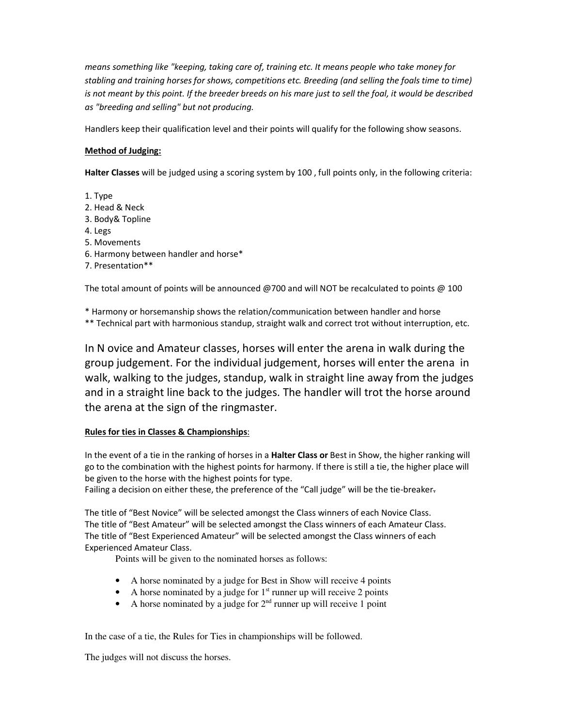*means something like "keeping, taking care of, training etc. It means people who take money for stabling and training horses for shows, competitions etc. Breeding (and selling the foals time to time) is not meant by this point. If the breeder breeds on his mare just to sell the foal, it would be described as "breeding and selling" but not producing.* 

Handlers keep their qualification level and their points will qualify for the following show seasons.

# **Method of Judging:**

**Halter Classes** will be judged using a scoring system by 100 , full points only, in the following criteria:

1. Type 2. Head & Neck 3. Body& Topline 4. Legs 5. Movements 6. Harmony between handler and horse\* 7. Presentation\*\*

The total amount of points will be announced @700 and will NOT be recalculated to points @ 100

\* Harmony or horsemanship shows the relation/communication between handler and horse \*\* Technical part with harmonious standup, straight walk and correct trot without interruption, etc.

In N ovice and Amateur classes, horses will enter the arena in walk during the group judgement. For the individual judgement, horses will enter the arena in walk, walking to the judges, standup, walk in straight line away from the judges and in a straight line back to the judges. The handler will trot the horse around the arena at the sign of the ringmaster.

# **Rules for ties in Classes & Championships**:

In the event of a tie in the ranking of horses in a **Halter Class or** Best in Show, the higher ranking will go to the combination with the highest points for harmony. If there is still a tie, the higher place will be given to the horse with the highest points for type.

Failing a decision on either these, the preference of the "Call judge" will be the tie-breaker-

The title of "Best Novice" will be selected amongst the Class winners of each Novice Class. The title of "Best Amateur" will be selected amongst the Class winners of each Amateur Class. The title of "Best Experienced Amateur" will be selected amongst the Class winners of each Experienced Amateur Class.

Points will be given to the nominated horses as follows:

- A horse nominated by a judge for Best in Show will receive 4 points
- A horse nominated by a judge for  $1<sup>st</sup>$  runner up will receive 2 points
- A horse nominated by a judge for  $2<sup>nd</sup>$  runner up will receive 1 point

In the case of a tie, the Rules for Ties in championships will be followed.

The judges will not discuss the horses.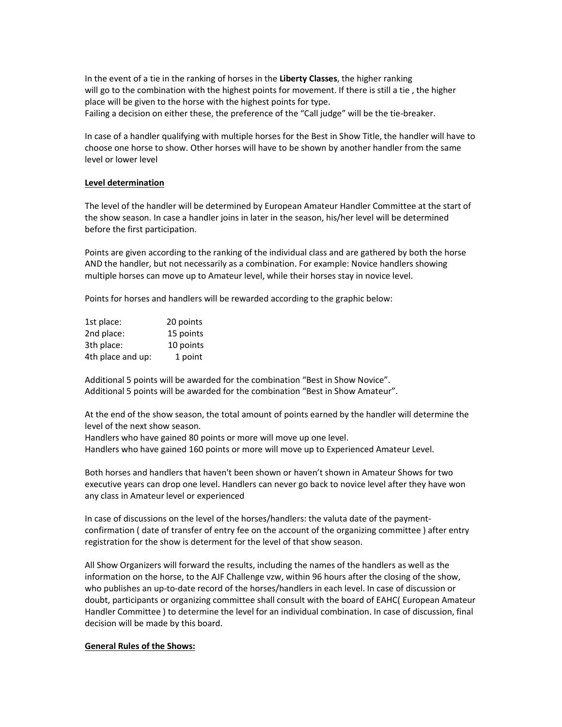In the event of a tie in the ranking of horses in the **Liberty Classes**, the higher ranking will go to the combination with the highest points for movement. If there is still a tie , the higher place will be given to the horse with the highest points for type. Failing a decision on either these, the preference of the "Call judge" will be the tie-breaker.

In case of a handler qualifying with multiple horses for the Best in Show Title, the handler will have to choose one horse to show. Other horses will have to be shown by another handler from the same level or lower level

#### **Level determination**

The level of the handler will be determined by European Amateur Handler Committee at the start of the show season. In case a handler joins in later in the season, his/her level will be determined before the first participation.

Points are given according to the ranking of the individual class and are gathered by both the horse AND the handler, but not necessarily as a combination. For example: Novice handlers showing multiple horses can move up to Amateur level, while their horses stay in novice level.

Points for horses and handlers will be rewarded according to the graphic below:

| 1st place:        | 20 points |
|-------------------|-----------|
| 2nd place:        | 15 points |
| 3th place:        | 10 points |
| 4th place and up: | 1 point   |

Additional 5 points will be awarded for the combination "Best in Show Novice". Additional 5 points will be awarded for the combination "Best in Show Amateur".

At the end of the show season, the total amount of points earned by the handler will determine the level of the next show season.

Handlers who have gained 80 points or more will move up one level. Handlers who have gained 160 points or more will move up to Experienced Amateur Level.

Both horses and handlers that haven't been shown or haven't shown in Amateur Shows for two executive years can drop one level. Handlers can never go back to novice level after they have won any class in Amateur level or experienced

In case of discussions on the level of the horses/handlers: the valuta date of the paymentconfirmation ( date of transfer of entry fee on the account of the organizing committee ) after entry registration for the show is determent for the level of that show season.

All Show Organizers will forward the results, including the names of the handlers as well as the information on the horse, to the AJF Challenge vzw, within 96 hours after the closing of the show, who publishes an up-to-date record of the horses/handlers in each level. In case of discussion or doubt, participants or organizing committee shall consult with the board of EAHC( European Amateur Handler Committee ) to determine the level for an individual combination. In case of discussion, final decision will be made by this board.

## **General Rules of the Shows:**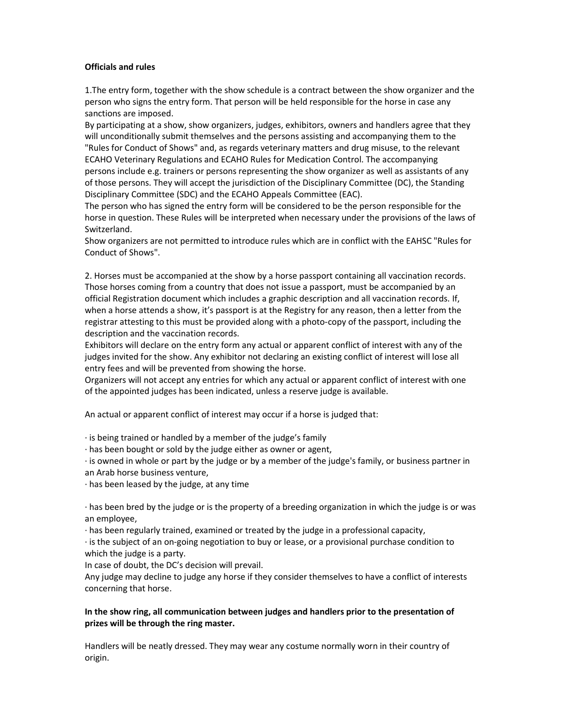#### **Officials and rules**

1.The entry form, together with the show schedule is a contract between the show organizer and the person who signs the entry form. That person will be held responsible for the horse in case any sanctions are imposed.

By participating at a show, show organizers, judges, exhibitors, owners and handlers agree that they will unconditionally submit themselves and the persons assisting and accompanying them to the "Rules for Conduct of Shows" and, as regards veterinary matters and drug misuse, to the relevant ECAHO Veterinary Regulations and ECAHO Rules for Medication Control. The accompanying persons include e.g. trainers or persons representing the show organizer as well as assistants of any of those persons. They will accept the jurisdiction of the Disciplinary Committee (DC), the Standing Disciplinary Committee (SDC) and the ECAHO Appeals Committee (EAC).

The person who has signed the entry form will be considered to be the person responsible for the horse in question. These Rules will be interpreted when necessary under the provisions of the laws of Switzerland.

Show organizers are not permitted to introduce rules which are in conflict with the EAHSC "Rules for Conduct of Shows".

2. Horses must be accompanied at the show by a horse passport containing all vaccination records. Those horses coming from a country that does not issue a passport, must be accompanied by an official Registration document which includes a graphic description and all vaccination records. If, when a horse attends a show, it's passport is at the Registry for any reason, then a letter from the registrar attesting to this must be provided along with a photo-copy of the passport, including the description and the vaccination records.

Exhibitors will declare on the entry form any actual or apparent conflict of interest with any of the judges invited for the show. Any exhibitor not declaring an existing conflict of interest will lose all entry fees and will be prevented from showing the horse.

Organizers will not accept any entries for which any actual or apparent conflict of interest with one of the appointed judges has been indicated, unless a reserve judge is available.

An actual or apparent conflict of interest may occur if a horse is judged that:

· is being trained or handled by a member of the judge's family

· has been bought or sold by the judge either as owner or agent,

· is owned in whole or part by the judge or by a member of the judge's family, or business partner in an Arab horse business venture,

 $\cdot$  has been leased by the judge, at any time

· has been bred by the judge or is the property of a breeding organization in which the judge is or was an employee,

· has been regularly trained, examined or treated by the judge in a professional capacity,

· is the subject of an on-going negotiation to buy or lease, or a provisional purchase condition to which the judge is a party.

In case of doubt, the DC's decision will prevail.

Any judge may decline to judge any horse if they consider themselves to have a conflict of interests concerning that horse.

# **In the show ring, all communication between judges and handlers prior to the presentation of prizes will be through the ring master.**

Handlers will be neatly dressed. They may wear any costume normally worn in their country of origin.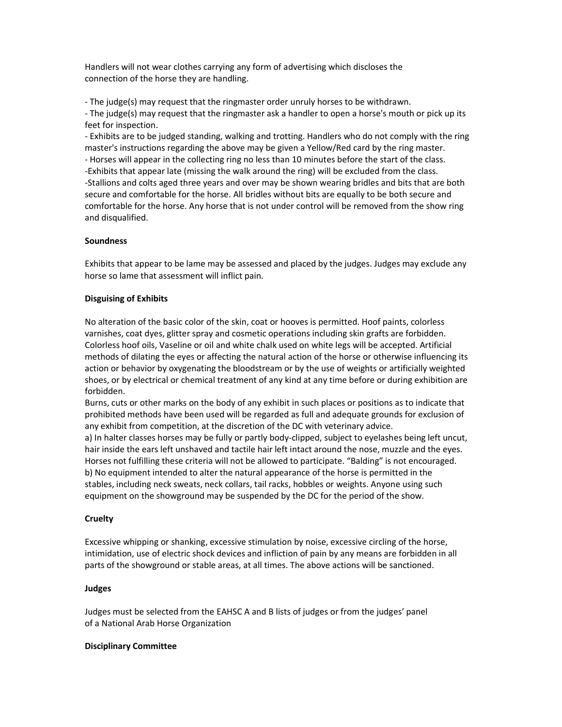Handlers will not wear clothes carrying any form of advertising which discloses the connection of the horse they are handling.

- The judge(s) may request that the ringmaster order unruly horses to be withdrawn.

- The judge(s) may request that the ringmaster ask a handler to open a horse's mouth or pick up its feet for inspection.

- Exhibits are to be judged standing, walking and trotting. Handlers who do not comply with the ring master's instructions regarding the above may be given a Yellow/Red card by the ring master. - Horses will appear in the collecting ring no less than 10 minutes before the start of the class. -Exhibits that appear late (missing the walk around the ring) will be excluded from the class. -Stallions and colts aged three years and over may be shown wearing bridles and bits that are both secure and comfortable for the horse. All bridles without bits are equally to be both secure and comfortable for the horse. Any horse that is not under control will be removed from the show ring and disqualified.

# **Soundness**

Exhibits that appear to be lame may be assessed and placed by the judges. Judges may exclude any horse so lame that assessment will inflict pain.

# **Disguising of Exhibits**

No alteration of the basic color of the skin, coat or hooves is permitted. Hoof paints, colorless varnishes, coat dyes, glitter spray and cosmetic operations including skin grafts are forbidden. Colorless hoof oils, Vaseline or oil and white chalk used on white legs will be accepted. Artificial methods of dilating the eyes or affecting the natural action of the horse or otherwise influencing its action or behavior by oxygenating the bloodstream or by the use of weights or artificially weighted shoes, or by electrical or chemical treatment of any kind at any time before or during exhibition are forbidden.

Burns, cuts or other marks on the body of any exhibit in such places or positions as to indicate that prohibited methods have been used will be regarded as full and adequate grounds for exclusion of any exhibit from competition, at the discretion of the DC with veterinary advice.

a) In halter classes horses may be fully or partly body-clipped, subject to eyelashes being left uncut, hair inside the ears left unshaved and tactile hair left intact around the nose, muzzle and the eyes. Horses not fulfilling these criteria will not be allowed to participate. "Balding" is not encouraged. b) No equipment intended to alter the natural appearance of the horse is permitted in the stables, including neck sweats, neck collars, tail racks, hobbles or weights. Anyone using such equipment on the showground may be suspended by the DC for the period of the show.

## **Cruelty**

Excessive whipping or shanking, excessive stimulation by noise, excessive circling of the horse, intimidation, use of electric shock devices and infliction of pain by any means are forbidden in all parts of the showground or stable areas, at all times. The above actions will be sanctioned.

## **Judges**

Judges must be selected from the EAHSC A and B lists of judges or from the judges' panel of a National Arab Horse Organization

## **Disciplinary Committee**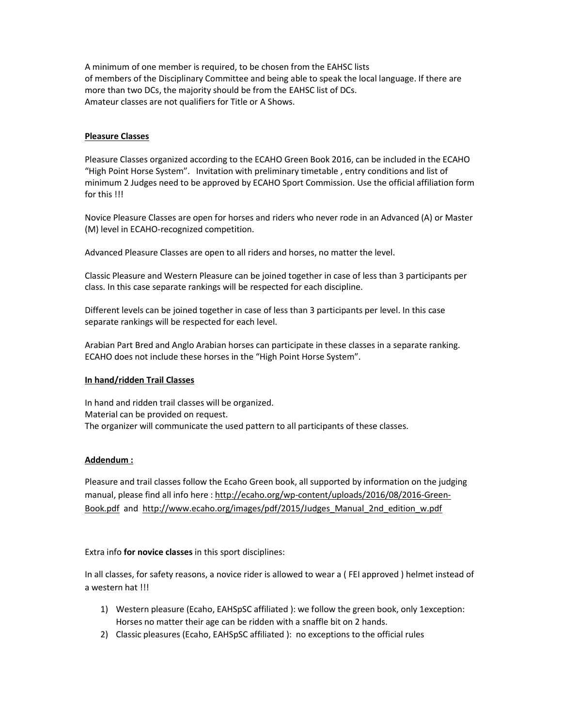A minimum of one member is required, to be chosen from the EAHSC lists of members of the Disciplinary Committee and being able to speak the local language. If there are more than two DCs, the majority should be from the EAHSC list of DCs. Amateur classes are not qualifiers for Title or A Shows.

## **Pleasure Classes**

Pleasure Classes organized according to the ECAHO Green Book 2016, can be included in the ECAHO "High Point Horse System". Invitation with preliminary timetable , entry conditions and list of minimum 2 Judges need to be approved by ECAHO Sport Commission. Use the official affiliation form for this !!!

Novice Pleasure Classes are open for horses and riders who never rode in an Advanced (A) or Master (M) level in ECAHO-recognized competition.

Advanced Pleasure Classes are open to all riders and horses, no matter the level.

Classic Pleasure and Western Pleasure can be joined together in case of less than 3 participants per class. In this case separate rankings will be respected for each discipline.

Different levels can be joined together in case of less than 3 participants per level. In this case separate rankings will be respected for each level.

Arabian Part Bred and Anglo Arabian horses can participate in these classes in a separate ranking. ECAHO does not include these horses in the "High Point Horse System".

## **In hand/ridden Trail Classes**

In hand and ridden trail classes will be organized. Material can be provided on request. The organizer will communicate the used pattern to all participants of these classes.

## **Addendum :**

Pleasure and trail classes follow the Ecaho Green book, all supported by information on the judging manual, please find all info here : http://ecaho.org/wp-content/uploads/2016/08/2016-Green-Book.pdf and http://www.ecaho.org/images/pdf/2015/Judges\_Manual\_2nd\_edition\_w.pdf

Extra info **for novice classes** in this sport disciplines:

In all classes, for safety reasons, a novice rider is allowed to wear a ( FEI approved ) helmet instead of a western hat !!!

- 1) Western pleasure (Ecaho, EAHSpSC affiliated ): we follow the green book, only 1exception: Horses no matter their age can be ridden with a snaffle bit on 2 hands.
- 2) Classic pleasures (Ecaho, EAHSpSC affiliated ): no exceptions to the official rules